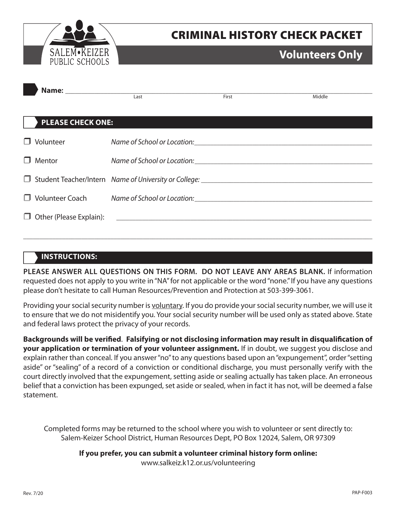

# CRIMINAL HISTORY CHECK PACKET

## **Volunteers Only**

|                          | Last                                                                             |       |        |
|--------------------------|----------------------------------------------------------------------------------|-------|--------|
|                          |                                                                                  | First | Middle |
| <b>PLEASE CHECK ONE:</b> |                                                                                  |       |        |
| $\Box$ Volunteer         |                                                                                  |       |        |
| $\Box$ Mentor            |                                                                                  |       |        |
|                          |                                                                                  |       |        |
|                          | □ Volunteer Coach Mame of School or Location: __________________________________ |       |        |
|                          |                                                                                  |       |        |
|                          |                                                                                  |       |        |

## **INSTRUCTIONS:**

**PLEASE ANSWER ALL QUESTIONS ON THIS FORM. DO NOT LEAVE ANY AREAS BLANK.** If information requested does not apply to you write in "NA" for not applicable or the word "none." If you have any questions please don't hesitate to call Human Resources/Prevention and Protection at 503-399-3061.

Providing your social security number is voluntary. If you do provide your social security number, we will use it to ensure that we do not misidentify you. Your social security number will be used only as stated above. State and federal laws protect the privacy of your records.

**Backgrounds will be verified**. **Falsifying or not disclosing information may result in disqualification of your application or termination of your volunteer assignment.** If in doubt, we suggest you disclose and explain rather than conceal. If you answer "no" to any questions based upon an "expungement", order "setting aside" or "sealing" of a record of a conviction or conditional discharge, you must personally verify with the court directly involved that the expungement, setting aside or sealing actually has taken place. An erroneous belief that a conviction has been expunged, set aside or sealed, when in fact it has not, will be deemed a false statement.

Completed forms may be returned to the school where you wish to volunteer or sent directly to: Salem-Keizer School District, Human Resources Dept, PO Box 12024, Salem, OR 97309

**If you prefer, you can submit a volunteer criminal history form online:** 

www.salkeiz.k12.or.us/volunteering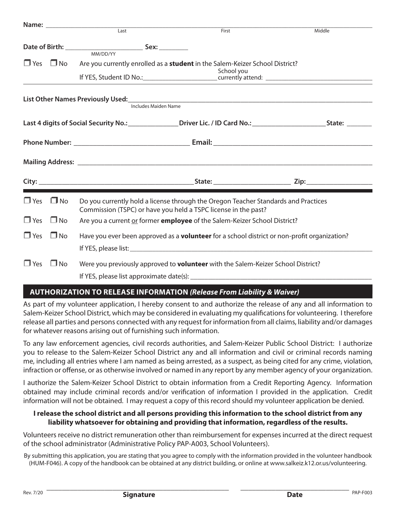|            |                      |                                                                                                     | First                                                                                                                                                | Middle                                                                                                                      |
|------------|----------------------|-----------------------------------------------------------------------------------------------------|------------------------------------------------------------------------------------------------------------------------------------------------------|-----------------------------------------------------------------------------------------------------------------------------|
|            |                      |                                                                                                     |                                                                                                                                                      |                                                                                                                             |
|            |                      |                                                                                                     | $\Box$ Yes $\Box$ No Are you currently enrolled as a <b>student</b> in the Salem-Keizer School District?<br>School you                               |                                                                                                                             |
|            |                      | Includes Maiden Name                                                                                | List Other Names Previously Used:<br><u>List Other Names Previously Used:</u>                                                                        |                                                                                                                             |
|            |                      |                                                                                                     |                                                                                                                                                      | Last 4 digits of Social Security No.: __________________Driver Lic. / ID Card No.: ________________________State: _________ |
|            |                      |                                                                                                     |                                                                                                                                                      |                                                                                                                             |
|            |                      |                                                                                                     |                                                                                                                                                      |                                                                                                                             |
|            |                      |                                                                                                     |                                                                                                                                                      |                                                                                                                             |
|            | $\Box$ Yes $\Box$ No |                                                                                                     | Do you currently hold a license through the Oregon Teacher Standards and Practices<br>Commission (TSPC) or have you held a TSPC license in the past? |                                                                                                                             |
| $\Box$ Yes | $\Box$ No            |                                                                                                     | Are you a current or former employee of the Salem-Keizer School District?                                                                            |                                                                                                                             |
| $\Box$ Yes | $\Box$ No            | Have you ever been approved as a <b>volunteer</b> for a school district or non-profit organization? |                                                                                                                                                      |                                                                                                                             |
| $\Box$ Yes | $\square$ No         |                                                                                                     | Were you previously approved to <b>volunteer</b> with the Salem-Keizer School District?                                                              |                                                                                                                             |

## **AUTHORIZATION TO RELEASE INFORMATION** *(Release From Liability & Waiver)*

As part of my volunteer application, I hereby consent to and authorize the release of any and all information to Salem-Keizer School District, which may be considered in evaluating my qualifications for volunteering. I therefore release all parties and persons connected with any request for information from all claims, liability and/or damages for whatever reasons arising out of furnishing such information.

To any law enforcement agencies, civil records authorities, and Salem-Keizer Public School District: I authorize you to release to the Salem-Keizer School District any and all information and civil or criminal records naming me, including all entries where I am named as being arrested, as a suspect, as being cited for any crime, violation, infraction or offense, or as otherwise involved or named in any report by any member agency of your organization.

I authorize the Salem-Keizer School District to obtain information from a Credit Reporting Agency. Information obtained may include criminal records and/or verification of information I provided in the application. Credit information will not be obtained. I may request a copy of this record should my volunteer application be denied.

### **I release the school district and all persons providing this information to the school district from any liability whatsoever for obtaining and providing that information, regardless of the results.**

Volunteers receive no district remuneration other than reimbursement for expenses incurred at the direct request of the school administrator (Administrative Policy PAP-A003, School Volunteers).

By submitting this application, you are stating that you agree to comply with the information provided in the volunteer handbook (HUM-F046). A copy of the handbook can be obtained at any district building, or online at www.salkeiz.k12.or.us/volunteering.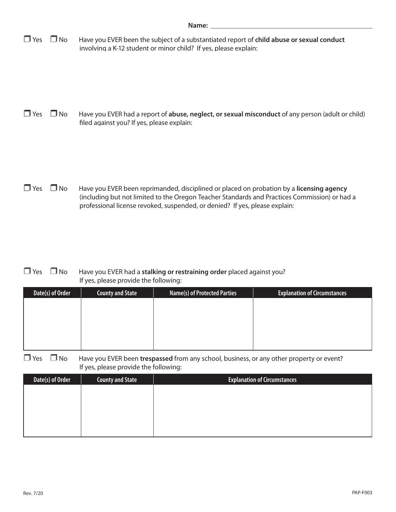|  | $\Box$ Yes $\Box$ No Have you EVER been the subject of a substantiated report of child abuse or sexual conduct |
|--|----------------------------------------------------------------------------------------------------------------|
|  | involving a K-12 student or minor child? If yes, please explain:                                               |

□ Yes □ No Have you EVER had a report of **abuse, neglect, or sexual misconduct** of any person (adult or child) filed against you? If yes, please explain:

**T** Yes **I** No Have you EVER been reprimanded, disciplined or placed on probation by a **licensing agency** (including but not limited to the Oregon Teacher Standards and Practices Commission) or had a professional license revoked, suspended, or denied? If yes, please explain:

#### **T** Yes **I** No Have you EVER had a **stalking or restraining order** placed against you? If yes, please provide the following:

| Date(s) of Order | <b>County and State</b> | <b>Name(s) of Protected Parties</b> | <b>Explanation of Circumstances</b> |
|------------------|-------------------------|-------------------------------------|-------------------------------------|
|                  |                         |                                     |                                     |
|                  |                         |                                     |                                     |
|                  |                         |                                     |                                     |
|                  |                         |                                     |                                     |
|                  |                         |                                     |                                     |

□ Yes □ No Have you EVER been trespassed from any school, business, or any other property or event? If yes, please provide the following:

| Date(s) of Order | <b>County and State</b> | <b>Explanation of Circumstances</b> |
|------------------|-------------------------|-------------------------------------|
|                  |                         |                                     |
|                  |                         |                                     |
|                  |                         |                                     |
|                  |                         |                                     |
|                  |                         |                                     |